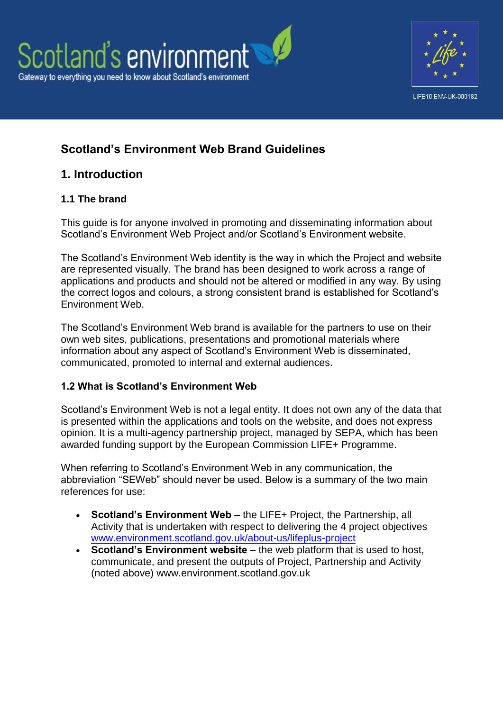

# **Scotland's Environment Web Brand Guidelines**

## **1. Introduction**

## **1.1 The brand**

This guide is for anyone involved in promoting and disseminating information about Scotland's Environment Web Project and/or Scotland's Environment website.

The Scotland's Environment Web identity is the way in which the Project and website are represented visually. The brand has been designed to work across a range of applications and products and should not be altered or modified in any way. By using the correct logos and colours, a strong consistent brand is established for Scotland's Environment Web.

The Scotland's Environment Web brand is available for the partners to use on their own web sites, publications, presentations and promotional materials where information about any aspect of Scotland's Environment Web is disseminated, communicated, promoted to internal and external audiences.

### **1.2 What is Scotland's Environment Web**

Scotland's Environment Web is not a legal entity. It does not own any of the data that is presented within the applications and tools on the website, and does not express opinion. It is a multi-agency partnership project, managed by SEPA, which has been awarded funding support by the European Commission LIFE+ Programme.

When referring to Scotland's Environment Web in any communication, the abbreviation "SEWeb" should never be used. Below is a summary of the two main references for use:

- **Scotland's Environment Web** the LIFE+ Project, the Partnership, all Activity that is undertaken with respect to delivering the 4 project objectives [www.environment.scotland.gov.uk/about-us/lifeplus-project](http://www.environment.scotland.gov.uk/about-us/lifeplus-project/)
- **Scotland's Environment website** the web platform that is used to host, communicate, and present the outputs of Project, Partnership and Activity (noted above) www.environment.scotland.gov.uk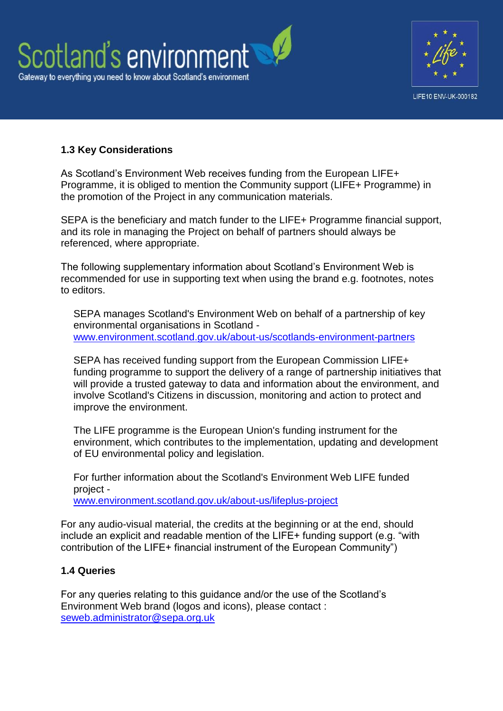



### **1.3 Key Considerations**

As Scotland's Environment Web receives funding from the European LIFE+ Programme, it is obliged to mention the Community support (LIFE+ Programme) in the promotion of the Project in any communication materials.

SEPA is the beneficiary and match funder to the LIFE+ Programme financial support, and its role in managing the Project on behalf of partners should always be referenced, where appropriate.

The following supplementary information about Scotland's Environment Web is recommended for use in supporting text when using the brand e.g. footnotes, notes to editors.

SEPA manages Scotland's Environment Web on behalf of a partnership of key environmental organisations in Scotland [www.environment.scotland.gov.uk/about-us/scotlands-environment-partners](http://www.environment.scotland.gov.uk/about-us/scotlands-environment-partners/)

SEPA has received funding support from the European Commission LIFE+ funding programme to support the delivery of a range of partnership initiatives that will provide a trusted gateway to data and information about the environment, and involve Scotland's Citizens in discussion, monitoring and action to protect and improve the environment.

The LIFE programme is the European Union's funding instrument for the environment, which contributes to the implementation, updating and development of EU environmental policy and legislation.

For further information about the Scotland's Environment Web LIFE funded project [www.environment.scotland.gov.uk/about-us/lifeplus-project](http://www.environment.scotland.gov.uk/about-us/lifeplus-project/)

For any audio-visual material, the credits at the beginning or at the end, should include an explicit and readable mention of the LIFE+ funding support (e.g. "with contribution of the LIFE+ financial instrument of the European Community")

#### **1.4 Queries**

For any queries relating to this guidance and/or the use of the Scotland's Environment Web brand (logos and icons), please contact : [seweb.administrator@sepa.org.uk](mailto:seweb.administrator@sepa.org.uk)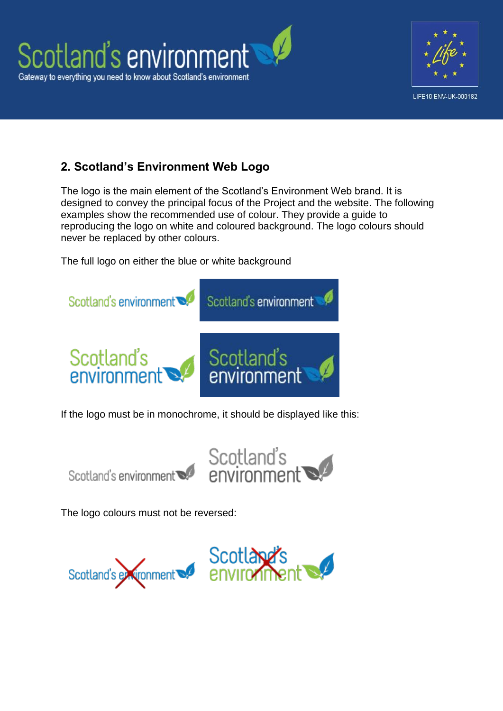

# **2. Scotland's Environment Web Logo**

The logo is the main element of the Scotland's Environment Web brand. It is designed to convey the principal focus of the Project and the website. The following examples show the recommended use of colour. They provide a guide to reproducing the logo on white and coloured background. The logo colours should never be replaced by other colours.

The full logo on either the blue or white background



If the logo must be in monochrome, it should be displayed like this:





The logo colours must not be reversed:

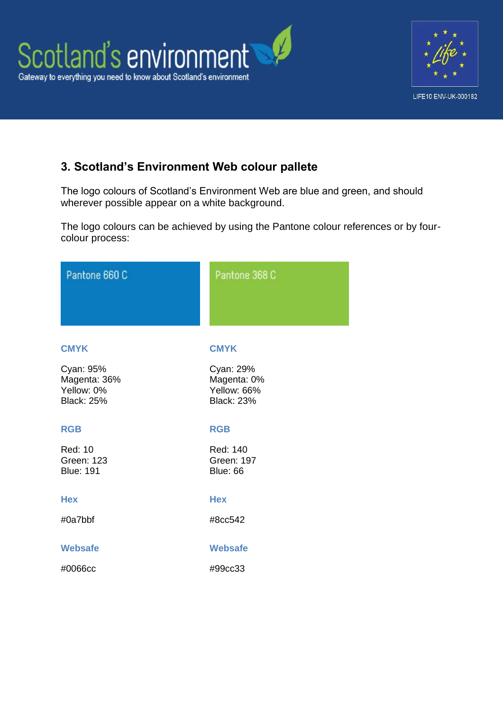

# **3. Scotland's Environment Web colour pallete**

The logo colours of Scotland's Environment Web are blue and green, and should wherever possible appear on a white background.

The logo colours can be achieved by using the Pantone colour references or by fourcolour process:

| Pantone 660 C                                                | Pantone 368 C                                                |
|--------------------------------------------------------------|--------------------------------------------------------------|
| <b>CMYK</b>                                                  | <b>CMYK</b>                                                  |
| Cyan: 95%<br>Magenta: 36%<br>Yellow: 0%<br><b>Black: 25%</b> | Cyan: 29%<br>Magenta: 0%<br>Yellow: 66%<br><b>Black: 23%</b> |
| <b>RGB</b>                                                   | <b>RGB</b>                                                   |
| <b>Red: 10</b><br><b>Green: 123</b><br><b>Blue: 191</b>      | Red: 140<br><b>Green: 197</b><br><b>Blue: 66</b>             |
| <b>Hex</b>                                                   | <b>Hex</b>                                                   |
| #0a7bbf                                                      | #8cc542                                                      |
| <b>Websafe</b>                                               | <b>Websafe</b>                                               |
| #0066cc                                                      | #99cc33                                                      |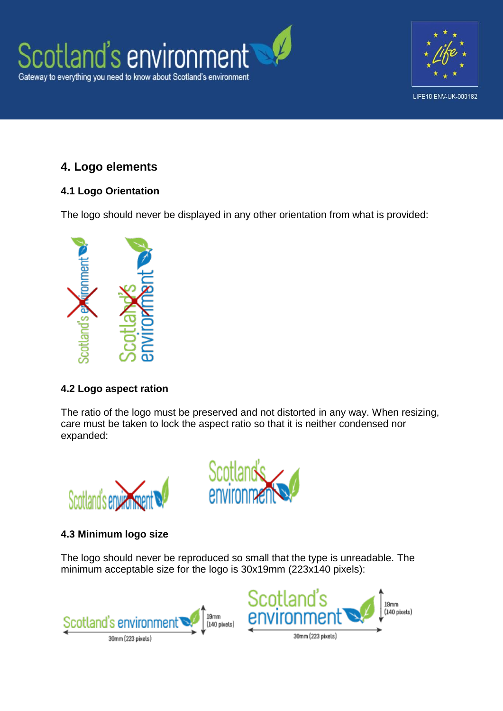



# **4. Logo elements**

## **4.1 Logo Orientation**

The logo should never be displayed in any other orientation from what is provided:



### **4.2 Logo aspect ration**

The ratio of the logo must be preserved and not distorted in any way. When resizing, care must be taken to lock the aspect ratio so that it is neither condensed nor expanded:





## **4.3 Minimum logo size**

The logo should never be reproduced so small that the type is unreadable. The minimum acceptable size for the logo is 30x19mm (223x140 pixels):



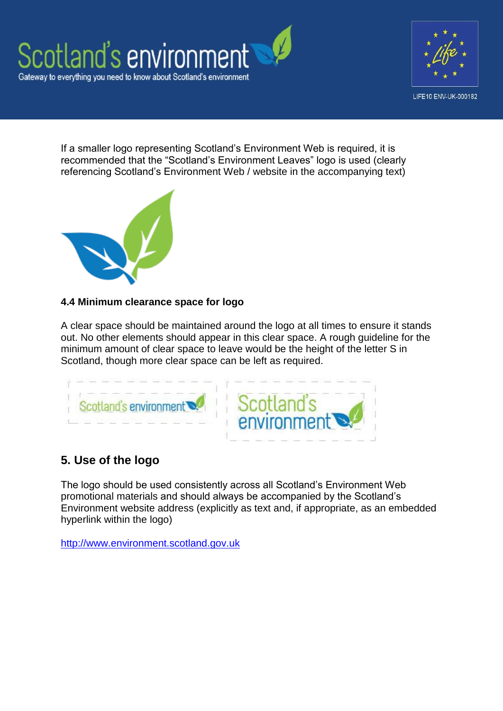



If a smaller logo representing Scotland's Environment Web is required, it is recommended that the "Scotland's Environment Leaves" logo is used (clearly referencing Scotland's Environment Web / website in the accompanying text)



### **4.4 Minimum clearance space for logo**

A clear space should be maintained around the logo at all times to ensure it stands out. No other elements should appear in this clear space. A rough guideline for the minimum amount of clear space to leave would be the height of the letter S in Scotland, though more clear space can be left as required.



# **5. Use of the logo**

The logo should be used consistently across all Scotland's Environment Web promotional materials and should always be accompanied by the Scotland's Environment website address (explicitly as text and, if appropriate, as an embedded hyperlink within the logo)

[http://www.environment.scotland.gov.uk](http://www.environment.scotland.gov.uk/)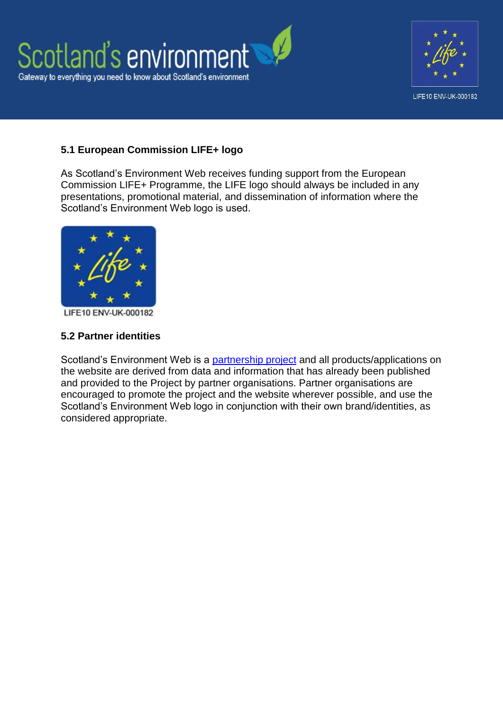

### **5.1 European Commission LIFE+ logo**

As Scotland's Environment Web receives funding support from the European Commission LIFE+ Programme, the LIFE logo should always be included in any presentations, promotional material, and dissemination of information where the Scotland's Environment Web logo is used.



LIFE10 ENV-UK-000182

#### **5.2 Partner identities**

Scotland's Environment Web is a [partnership project](http://www.environment.scotland.gov.uk/about-us/scotlands-environment-partners/) and all products/applications on the website are derived from data and information that has already been published and provided to the Project by partner organisations. Partner organisations are encouraged to promote the project and the website wherever possible, and use the Scotland's Environment Web logo in conjunction with their own brand/identities, as considered appropriate.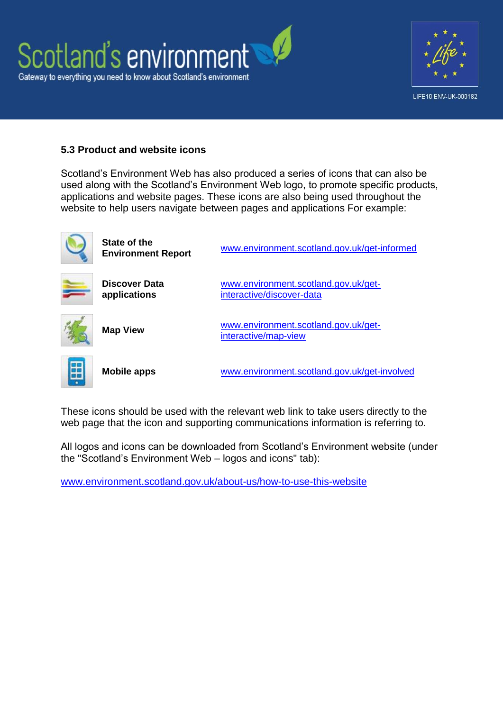



#### **5.3 Product and website icons**

Scotland's Environment Web has also produced a series of icons that can also be used along with the Scotland's Environment Web logo, to promote specific products, applications and website pages. These icons are also being used throughout the website to help users navigate between pages and applications For example:



These icons should be used with the relevant web link to take users directly to the web page that the icon and supporting communications information is referring to.

All logos and icons can be downloaded from Scotland's Environment website (under the "Scotland's Environment Web – logos and icons" tab):

[www.environment.scotland.gov.uk/about-us/how-to-use-this-website](http://www.environment.scotland.gov.uk/about-us/how-to-use-this-website/)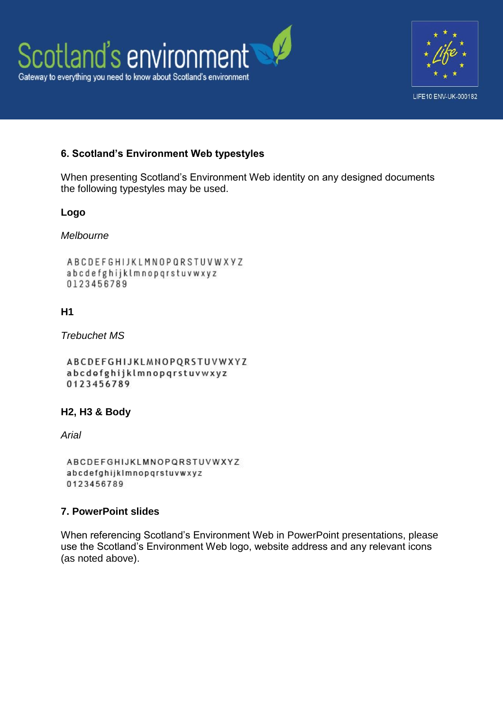



### **6. Scotland's Environment Web typestyles**

When presenting Scotland's Environment Web identity on any designed documents the following typestyles may be used.

#### **Logo**

#### *Melbourne*

```
ABCDEFGHIJKLMNOPQRSTUVWXYZ
abcdefghijklmnopgrstuvwxyz
0123456789
```
### **H1**

*Trebuchet MS*

```
ABCDEFGHIJKLMNOPQRSTUVWXYZ
abcdofghijklmnopgrstuvwxyz
0123456789
```
### **H2, H3 & Body**

*Arial*

```
ABCDEFGHIJKLMNOPQRSTUVWXYZ
abcdefghijklmnopqrstuvwxyz
0123456789
```
### **7. PowerPoint slides**

When referencing Scotland's Environment Web in PowerPoint presentations, please use the Scotland's Environment Web logo, website address and any relevant icons (as noted above).